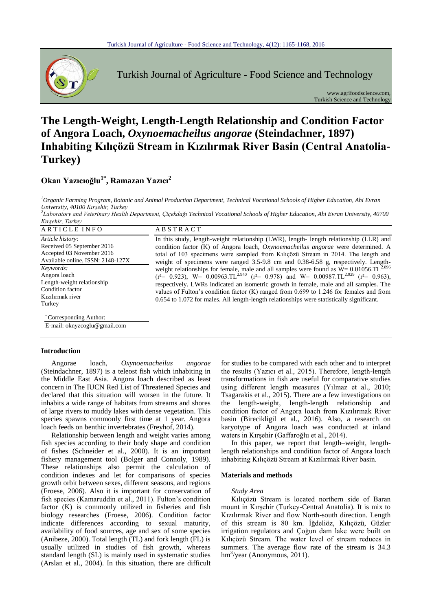

Turkish Journal of Agriculture - Food Science and Technology

www.agrifoodscience.com, Turkish Science and Technology

# **The Length-Weight, Length-Length Relationship and Condition Factor of Angora Loach,** *Oxynoemacheilus angorae* **(Steindachner, 1897) Inhabiting Kılıçözü Stream in Kızılırmak River Basin (Central Anatolia-Turkey)**

# **Okan Yazıcıoğlu1\* , Ramazan Yazıcı<sup>2</sup>**

*<sup>1</sup>Organic Farming Program, Botanic and Animal Production Department, Technical Vocational Schools of Higher Education, Ahi Evran University, 40100 Kırşehir, Turkey*

*2 Laboratory and Veterinary Health Department, Çiçekdağı Technical Vocational Schools of Higher Education, Ahi Evran University, 40700 Kırşehir, Turkey*

| Article history:<br>Received 05 September 2016<br>Accepted 03 November 2016<br>Available online, ISSN: 2148-127X | In this study, length-weight relationship (LWR), length-length relationship (LLR) and<br>condition factor (K) of Angora loach, <i>Oxynoemacheilus angorae</i> were determined. A<br>total of 103 specimens were sampled from Kiliçözü Stream in 2014. The length and<br>weight of specimens were ranged 3.5-9.8 cm and 0.38-6.58 g, respectively. Length-                                                                                                                                                        |
|------------------------------------------------------------------------------------------------------------------|------------------------------------------------------------------------------------------------------------------------------------------------------------------------------------------------------------------------------------------------------------------------------------------------------------------------------------------------------------------------------------------------------------------------------------------------------------------------------------------------------------------|
| Keywords:<br>Angora loach<br>Length-weight relationship<br>Condition factor<br>Kızılırmak river<br>Turkey        | weight relationships for female, male and all samples were found as $W = 0.01056 \text{.TL}^{2.896}$<br>$(r^2 = 0.923)$ , W= 0.00963.TL <sup>2.940</sup> $(r^2 = 0.978)$ and W= 0.00987.TL <sup>2.929</sup> $(r^2 = 0.963)$ ,<br>respectively. LWRs indicated an isometric growth in female, male and all samples. The<br>values of Fulton's condition factor $(K)$ ranged from 0.699 to 1.246 for females and from<br>0.654 to 1.072 for males. All length-length relationships were statistically significant. |

\* Corresponding Author:

E-mail: oknyzcoglu@gmail.com

# **Introduction**

Angorae loach*, Oxynoemacheilus angorae* (Steindachner, 1897) is a teleost fish which inhabiting in the Middle East Asia. Angora loach described as least concern in The IUCN Red List of Threatened Species and declared that this situation will worsen in the future. It inhabits a wide range of habitats from streams and shores of large rivers to muddy lakes with dense vegetation. This species spawns commonly first time at 1 year. Angora loach feeds on benthic invertebrates (Freyhof, 2014).

Relationship between length and weight varies among fish species according to their body shape and condition of fishes (Schneider et al., 2000). It is an important fishery management tool (Bolger and Connoly, 1989). These relationships also permit the calculation of condition indexes and let for comparisons of species growth orbit between sexes, different seasons, and regions (Froese, 2006). Also it is important for conservation of fish species (Kamaruddin et al., 2011). Fulton's condition factor (K) is commonly utilized in fisheries and fish biology researches (Froese, 2006). Condition factor indicate differences according to sexual maturity, availability of food sources, age and sex of some species (Anibeze, 2000). Total length (TL) and fork length (FL) is usually utilized in studies of fish growth, whereas standard length (SL) is mainly used in systematic studies (Arslan et al., 2004). In this situation, there are difficult

for studies to be compared with each other and to interpret the results (Yazıcı et al., 2015). Therefore, length-length transformations in fish are useful for comparative studies using different length measures (Yılmaz et al., 2010; Tsagarakis et al., 2015). There are a few investigations on the length-weight, length-length relationship and condition factor of Angora loach from Kızılırmak River basin (Birecikligil et al., 2016). Also, a research on karyotype of Angora loach was conducted at inland waters in Kırşehir (Gaffaroğlu et al., 2014).

In this paper, we report that length–weight, lengthlength relationships and condition factor of Angora loach inhabiting Kılıçözü Stream at Kızılırmak River basin.

#### **Materials and methods**

# *Study Area*

Kılıçözü Stream is located northern side of Baran mount in Kırşehir (Turkey-Central Anatolia). It is mix to Kızılırmak River and flow North-south direction. Length of this stream is 80 km. İğdeliöz, Kılıçözü, Güzler irrigation regulators and Çoğun dam lake were built on Kılıçözü Stream. The water level of stream reduces in summers. The average flow rate of the stream is 34.3 hm<sup>3</sup>/year (Anonymous, 2011).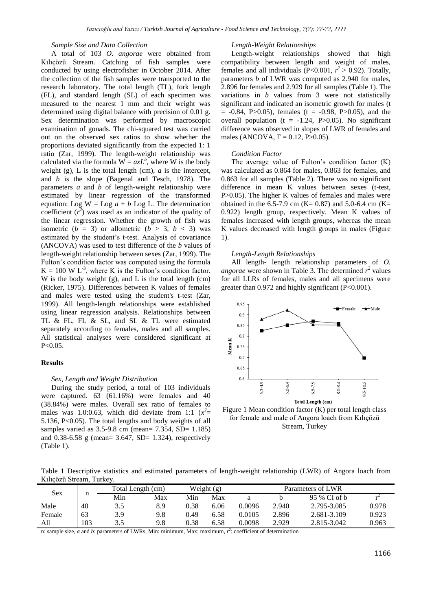# *Sample Size and Data Collection*

A total of 103 *O*. *angorae* were obtained from Kılıçözü Stream. Catching of fish samples were conducted by using electrofisher in October 2014. After the collection of the fish samples were transported to the research laboratory. The total length (TL), fork length (FL), and standard length (SL) of each specimen was measured to the nearest 1 mm and their weight was determined using digital balance with precision of 0.01 g. Sex determination was performed by macroscopic examination of gonads. The chi-squared test was carried out on the observed sex ratios to show whether the proportions deviated significantly from the expected 1: 1 ratio (Zar, 1999). The length-weight relationship was calculated via the formula  $W = axL^b$ , where W is the body weight (g), L is the total length (cm), *a* is the intercept, and *b* is the slope (Bagenal and Tesch, 1978). The parameters *a* and *b* of length-weight relationship were estimated by linear regression of the transformed equation: Log  $W = \text{Log } a + b \text{ Log } L$ . The determination coefficient  $(r^2)$  was used as an indicator of the quality of the linear regression. Whether the growth of fish was isometric  $(b = 3)$  or allometric  $(b > 3, b < 3)$  was estimated by the student's t-test. Analysis of covariance (ANCOVA) was used to test difference of the *b* values of length-weight relationship between sexes (Zar, 1999). The Fulton's condition factor was computed using the formula  $K = 100 \text{ W L}^3$ , where K is the Fulton's condition factor, W is the body weight (g), and L is the total length (cm) (Ricker, 1975). Differences between K values of females and males were tested using the student's t-test (Zar, 1999). All length-length relationships were established using linear regression analysis. Relationships between TL & FL, FL & SL, and SL & TL were estimated separately according to females, males and all samples. All statistical analyses were considered significant at P<0.05.

# **Results**

#### *Sex, Length and Weight Distribution*

During the study period, a total of 103 individuals were captured. 63 (61.16%) were females and 40 (38.84%) were males. Overall sex ratio of females to males was 1.0:0.63, which did deviate from 1:1  $(x^2=$ 5.136, P<0.05). The total lengths and body weights of all samples varied as 3.5-9.8 cm (mean= 7.354, SD= 1.185) and 0.38-6.58 g (mean= 3.647, SD= 1.324), respectively (Table 1).

#### *Length-Weight Relationships*

Length-weight relationships showed that high compatibility between length and weight of males, females and all individuals (P<0.001,  $r^2 > 0.92$ ). Totally, parameters *b* of LWR was computed as 2.940 for males, 2.896 for females and 2.929 for all samples (Table 1). The variations in *b* values from 3 were not statistically significant and indicated an isometric growth for males (t  $= -0.84$ , P $>0.05$ ), females (t =  $-0.98$ , P $>0.05$ ), and the overall population ( $t = -1.24$ , P $> 0.05$ ). No significant difference was observed in slopes of LWR of females and males (ANCOVA,  $F = 0.12$ , P>0.05).

# *Condition Factor*

The average value of Fulton's condition factor (K) was calculated as 0.864 for males, 0.863 for females, and 0.863 for all samples (Table 2). There was no significant difference in mean K values between sexes (t-test, P>0.05). The higher K values of females and males were obtained in the 6.5-7.9 cm (K= 0.87) and 5.0-6.4 cm (K= 0.922) length group, respectively. Mean K values of females increased with length groups, whereas the mean K values decreased with length groups in males (Figure 1).

#### *Length-Length Relationships*

All length- length relationship parameters of *O. angorae* were shown in Table 3. The determined  $r^2$  values for all LLRs of females, males and all specimens were greater than 0.972 and highly significant (P<0.001).



Figure 1 Mean condition factor (K) per total length class for female and male of Angora loach from Kılıçözü Stream, Turkey

Table 1 Descriptive statistics and estimated parameters of length-weight relationship (LWR) of Angora loach from Kılıçözü Stream, Turkey.

| <b>Sex</b> |     | Total Length (cm) |     | Weight $(g)$ |      | Parameters of LWR |       |              |       |
|------------|-----|-------------------|-----|--------------|------|-------------------|-------|--------------|-------|
|            | n   | Min               | Max | Min          | Max  | a                 |       | 95 % CI of b |       |
| Male       | 40  | 3.5               | 8.9 | 0.38         | 6.06 | 0.0096            | 2.940 | 2.795-3.085  | 0.978 |
| Female     | 63  | 3.9               | 9.8 | 0.49         | 6.58 | 0.0105            | 2.896 | 2.681-3.109  | 0.923 |
| All        | 103 | 3.5               | 9.8 | 0.38         | 6.58 | 0.0098            | 2.929 | 2.815-3.042  | 0.963 |

n: sample size, a and b: parameters of LWRs, Min: minimum, Max: maximum,  $r^2$ : coefficient of determination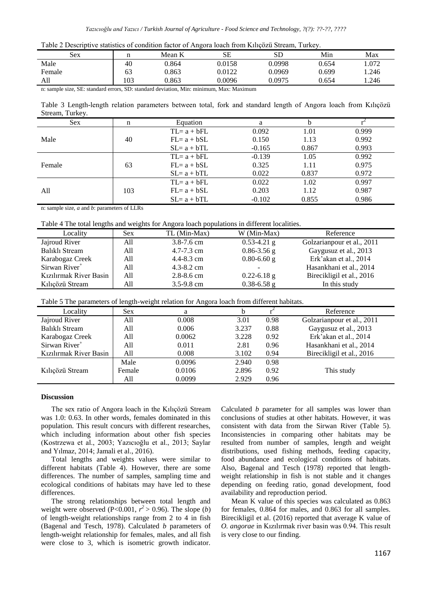| Table 2 Descriptive statistics of condition factor of Angora loach from Kilicozü Stream, Turkey. |  |  |  |  |
|--------------------------------------------------------------------------------------------------|--|--|--|--|
|                                                                                                  |  |  |  |  |

| Sex        |               | Mean K             | <b>SE</b>                             | <b>SD</b> | Min   | Max   |
|------------|---------------|--------------------|---------------------------------------|-----------|-------|-------|
| Male       | 40            | 0.864              | 0.0158                                | 0.0998    | 0.654 | 1.072 |
| Female     | 63            | 0.863              | 0.0122                                | 0.0969    | 0.699 | .246  |
| All        | 103           | 0.863              | 0.0096                                | 0.0975    | 0.654 | .246  |
| $\sim$ $-$ | $\sim$ $\sim$ | $\sim$ $\sim$<br>. | $\cdot$ $\cdot$<br>.<br>$\sim$ $\sim$ |           |       |       |

n: sample size, SE: standard errors, SD: standard deviation, Min: minimum, Max: Maximum

Table 3 Length-length relation parameters between total, fork and standard length of Angora loach from Kılıçözü Stream, Turkey.

| n   | Equation       | a        | h     |       |
|-----|----------------|----------|-------|-------|
|     | $TL = a + bFL$ | 0.092    | 1.01  | 0.999 |
| 40  | $FL = a + bSL$ | 0.150    | 1.13  | 0.992 |
|     | $SL = a + bTL$ | $-0.165$ | 0.867 | 0.993 |
|     | $TL = a + bFL$ | $-0.139$ | 1.05  | 0.992 |
| 63  | $FL = a + bSL$ | 0.325    | 1.11  | 0.975 |
|     | $SL = a + bTL$ | 0.022    | 0.837 | 0.972 |
|     | $TL = a + bFL$ | 0.022    | 1.02  | 0.997 |
| 103 | $FL = a + bSL$ | 0.203    | 1.12  | 0.987 |
|     | $SL = a + bTL$ | $-0.102$ | 0.855 | 0.986 |
|     |                |          |       |       |

n: sample size, *a* and *b*: parameters of LLRs

Table 4 The total lengths and weights for Angora loach populations in different localities.

| Locality                  | Sex | TL (Min-Max)   | W (Min-Max)              | Reference                  |
|---------------------------|-----|----------------|--------------------------|----------------------------|
| Jajroud River             | A11 | $3.8 - 7.6$ cm | $0.53 - 4.21$ g          | Golzarianpour et al., 2011 |
| Balıklı Stream            | A11 | $4.7 - 7.3$ cm | $0.86 - 3.56$ g          | Gaygusuz et al., 2013      |
| Karabogaz Creek           | All | $4.4 - 8.3$ cm | $0.80 - 6.60$ g          | Erk'akan et al., 2014      |
| Sirwan River <sup>+</sup> | All | $4.3 - 8.2$ cm | $\overline{\phantom{0}}$ | Hasankhani et al., 2014    |
| Kızılırmak River Basin    | All | $2.8 - 8.6$ cm | $0.22 - 6.18$ g          | Birecikligil et al., 2016  |
| Kılıcözü Stream           | A11 | $3.5 - 9.8$ cm | $0.38 - 6.58$ g          | In this study              |

Table 5 The parameters of length-weight relation for Angora loach from different habitats.

| Locality                  | Sex    | a      |       |      | Reference                  |
|---------------------------|--------|--------|-------|------|----------------------------|
| Jajroud River             | All    | 0.008  | 3.01  | 0.98 | Golzarianpour et al., 2011 |
| Balıklı Stream            | All    | 0.006  | 3.237 | 0.88 | Gaygusuz et al., 2013      |
| Karabogaz Creek           | All    | 0.0062 | 3.228 | 0.92 | Erk'akan et al., 2014      |
| Sirwan River <sup>+</sup> | All    | 0.011  | 2.81  | 0.96 | Hasankhani et al., 2014    |
| Kızılırmak River Basin    | All    | 0.008  | 3.102 | 0.94 | Birecikligil et al., 2016  |
|                           | Male   | 0.0096 | 2.940 | 0.98 |                            |
| Kılıçözü Stream           | Female | 0.0106 | 2.896 | 0.92 | This study                 |
|                           | All    | 0.0099 | 2.929 | 0.96 |                            |

# **Discussion**

The sex ratio of Angora loach in the Kılıçözü Stream was 1.0: 0.63. In other words, females dominated in this population. This result concurs with different researches, which including information about other fish species (Kostrzewa et al., 2003; Yazıcıoğlu et al., 2013; Saylar and Yılmaz, 2014; Jamali et al., 2016).

Total lengths and weights values were similar to different habitats (Table 4). However, there are some differences. The number of samples, sampling time and ecological conditions of habitats may have led to these differences.

The strong relationships between total length and weight were observed (P<0.001,  $r^2 > 0.96$ ). The slope (*b*) of length-weight relationships range from 2 to 4 in fish (Bagenal and Tesch, 1978). Calculated *b* parameters of length-weight relationship for females, males, and all fish were close to 3, which is isometric growth indicator.

Calculated *b* parameter for all samples was lower than conclusions of studies at other habitats. However, it was consistent with data from the Sirwan River (Table 5). Inconsistencies in comparing other habitats may be resulted from number of samples, length and weight distributions, used fishing methods, feeding capacity, food abundance and ecological conditions of habitats. Also, Bagenal and Tesch (1978) reported that lengthweight relationship in fish is not stable and it changes depending on feeding ratio, gonad development, food availability and reproduction period.

Mean K value of this species was calculated as 0.863 for females, 0.864 for males, and 0.863 for all samples. Birecikligil et al. (2016) reported that average K value of *O. angorae* in Kızılırmak river basin was 0.94. This result is very close to our finding.